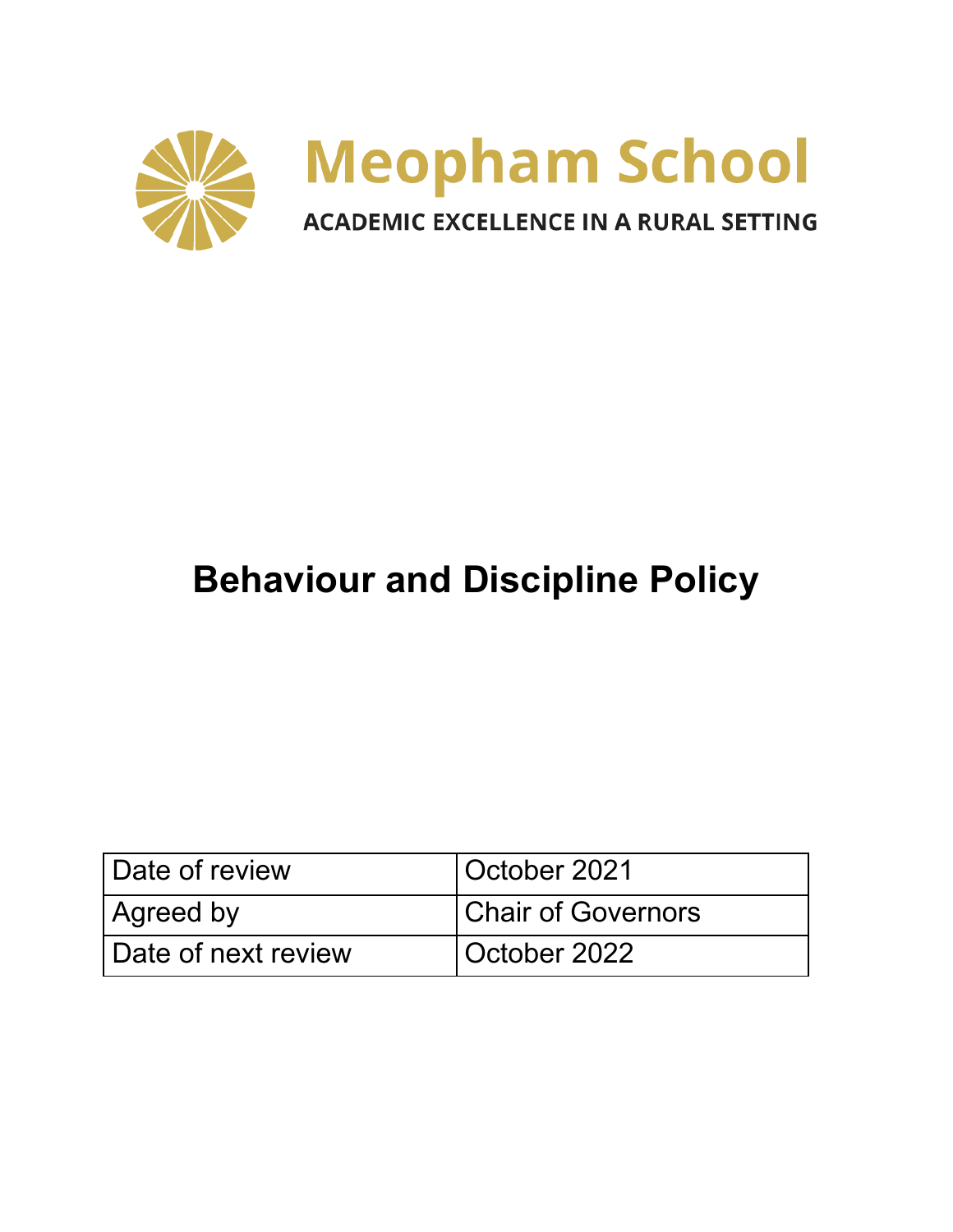

# **Behaviour and Discipline Policy**

| Date of review      | October 2021              |
|---------------------|---------------------------|
| Agreed by           | <b>Chair of Governors</b> |
| Date of next review | October 2022              |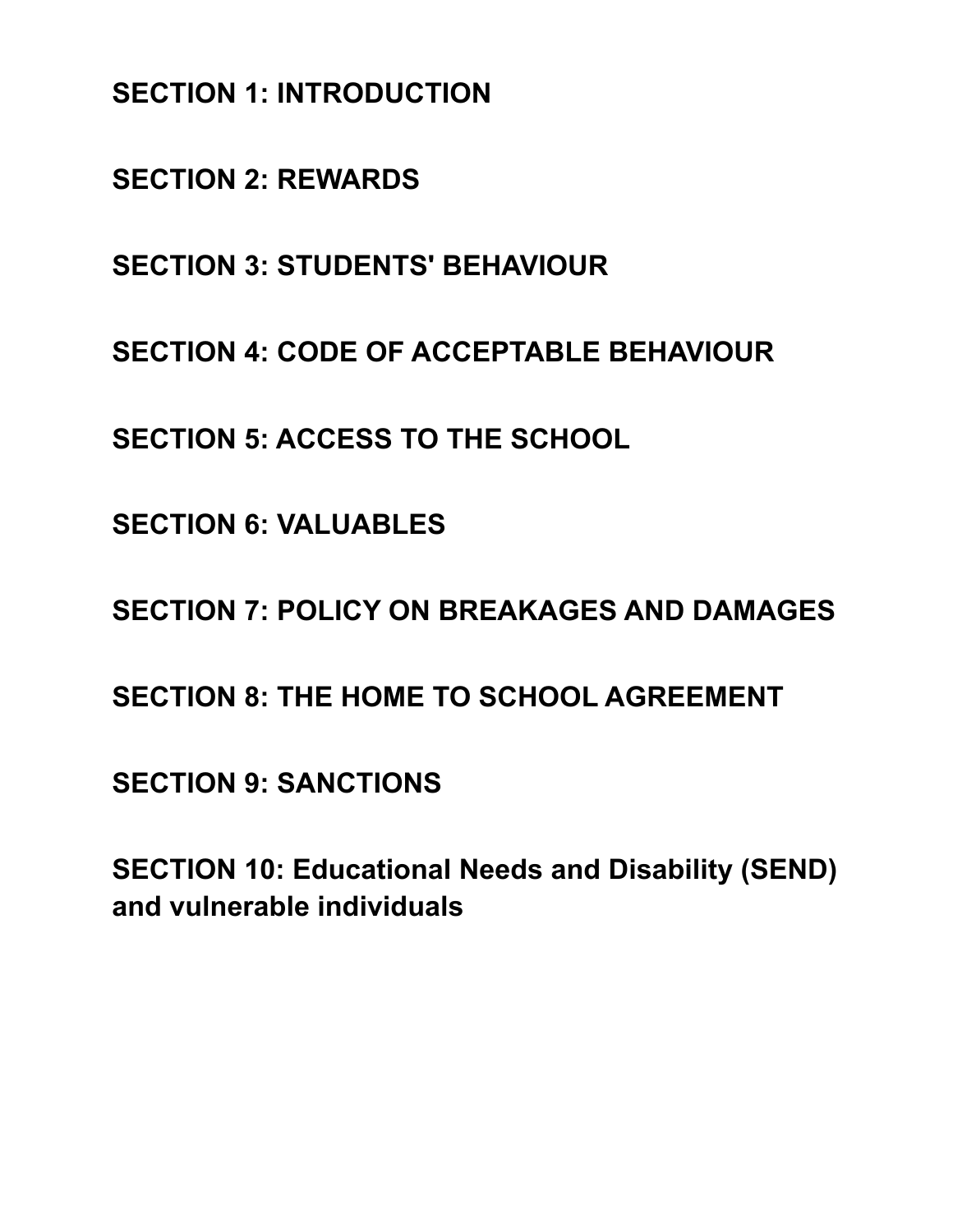**SECTION 1: INTRODUCTION**

**SECTION 2: REWARDS**

**SECTION 3: STUDENTS' BEHAVIOUR**

**SECTION 4: CODE OF ACCEPTABLE BEHAVIOUR**

**SECTION 5: ACCESS TO THE SCHOOL**

**SECTION 6: VALUABLES**

**SECTION 7: POLICY ON BREAKAGES AND DAMAGES**

**SECTION 8: THE HOME TO SCHOOL AGREEMENT**

**SECTION 9: SANCTIONS**

**SECTION 10: Educational Needs and Disability (SEND) and vulnerable individuals**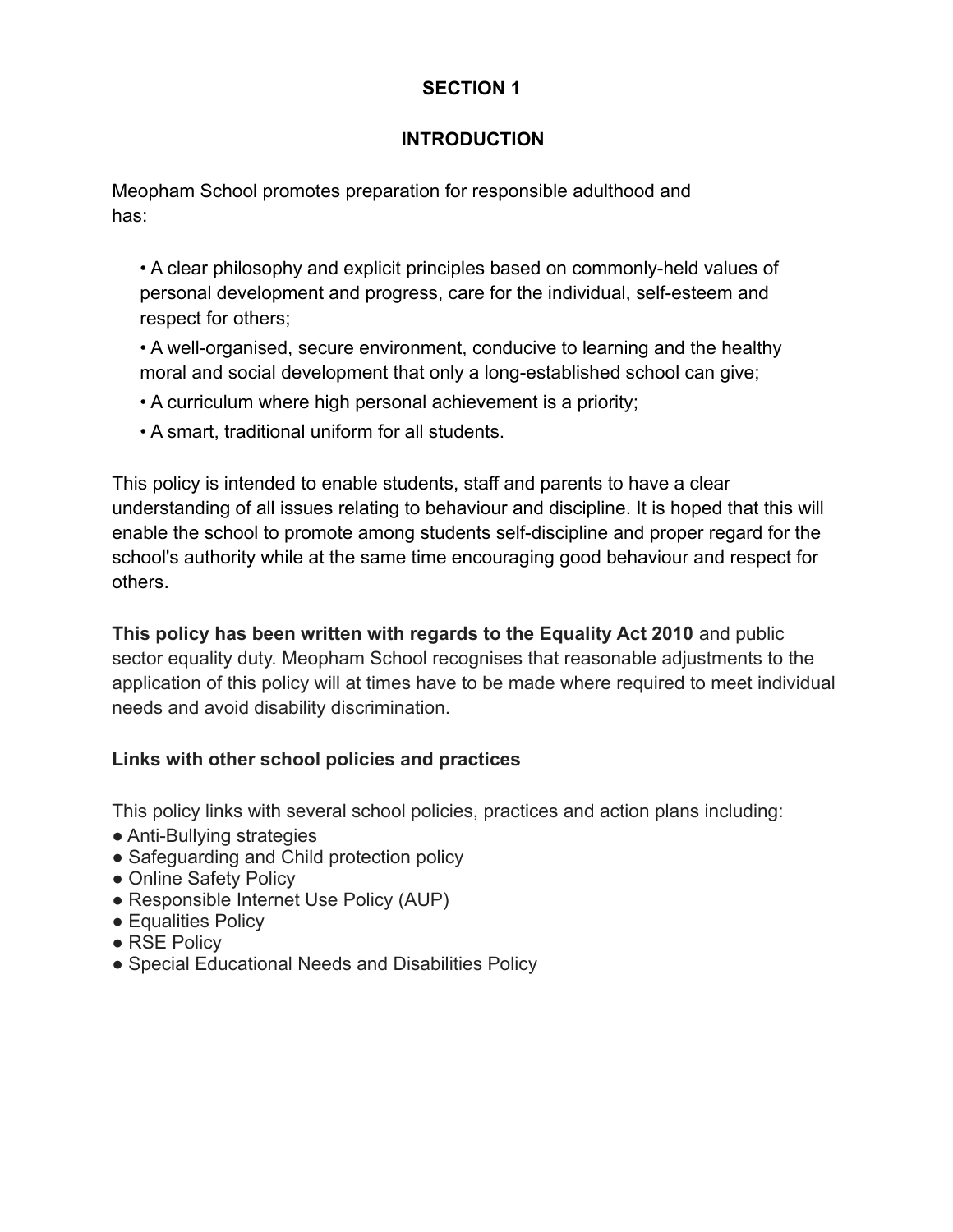## **INTRODUCTION**

Meopham School promotes preparation for responsible adulthood and has:

• A clear philosophy and explicit principles based on commonly-held values of personal development and progress, care for the individual, self-esteem and respect for others;

• A well-organised, secure environment, conducive to learning and the healthy moral and social development that only a long-established school can give;

- A curriculum where high personal achievement is a priority;
- A smart, traditional uniform for all students.

This policy is intended to enable students, staff and parents to have a clear understanding of all issues relating to behaviour and discipline. It is hoped that this will enable the school to promote among students self-discipline and proper regard for the school's authority while at the same time encouraging good behaviour and respect for others.

**This policy has been written with regards to the Equality Act 2010** and public sector equality duty. Meopham School recognises that reasonable adjustments to the application of this policy will at times have to be made where required to meet individual needs and avoid disability discrimination.

#### **Links with other school policies and practices**

This policy links with several school policies, practices and action plans including:

- Anti-Bullying strategies
- Safeguarding and Child protection policy
- Online Safety Policy
- Responsible Internet Use Policy (AUP)
- Equalities Policy
- RSE Policy
- Special Educational Needs and Disabilities Policy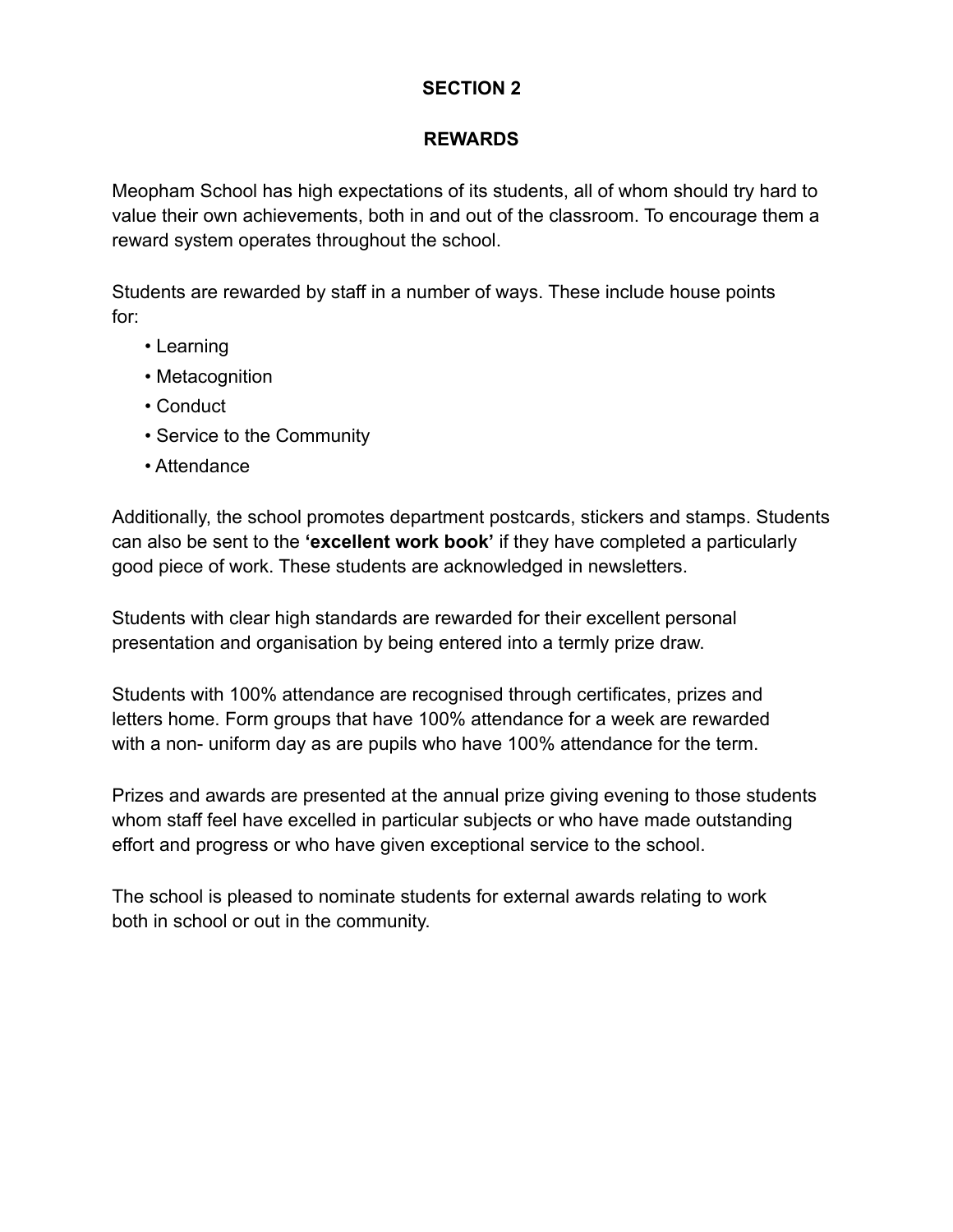#### **REWARDS**

Meopham School has high expectations of its students, all of whom should try hard to value their own achievements, both in and out of the classroom. To encourage them a reward system operates throughout the school.

Students are rewarded by staff in a number of ways. These include house points for:

- Learning
- Metacognition
- Conduct
- Service to the Community
- Attendance

Additionally, the school promotes department postcards, stickers and stamps. Students can also be sent to the **'excellent work book'** if they have completed a particularly good piece of work. These students are acknowledged in newsletters.

Students with clear high standards are rewarded for their excellent personal presentation and organisation by being entered into a termly prize draw.

Students with 100% attendance are recognised through certificates, prizes and letters home. Form groups that have 100% attendance for a week are rewarded with a non- uniform day as are pupils who have 100% attendance for the term.

Prizes and awards are presented at the annual prize giving evening to those students whom staff feel have excelled in particular subjects or who have made outstanding effort and progress or who have given exceptional service to the school.

The school is pleased to nominate students for external awards relating to work both in school or out in the community.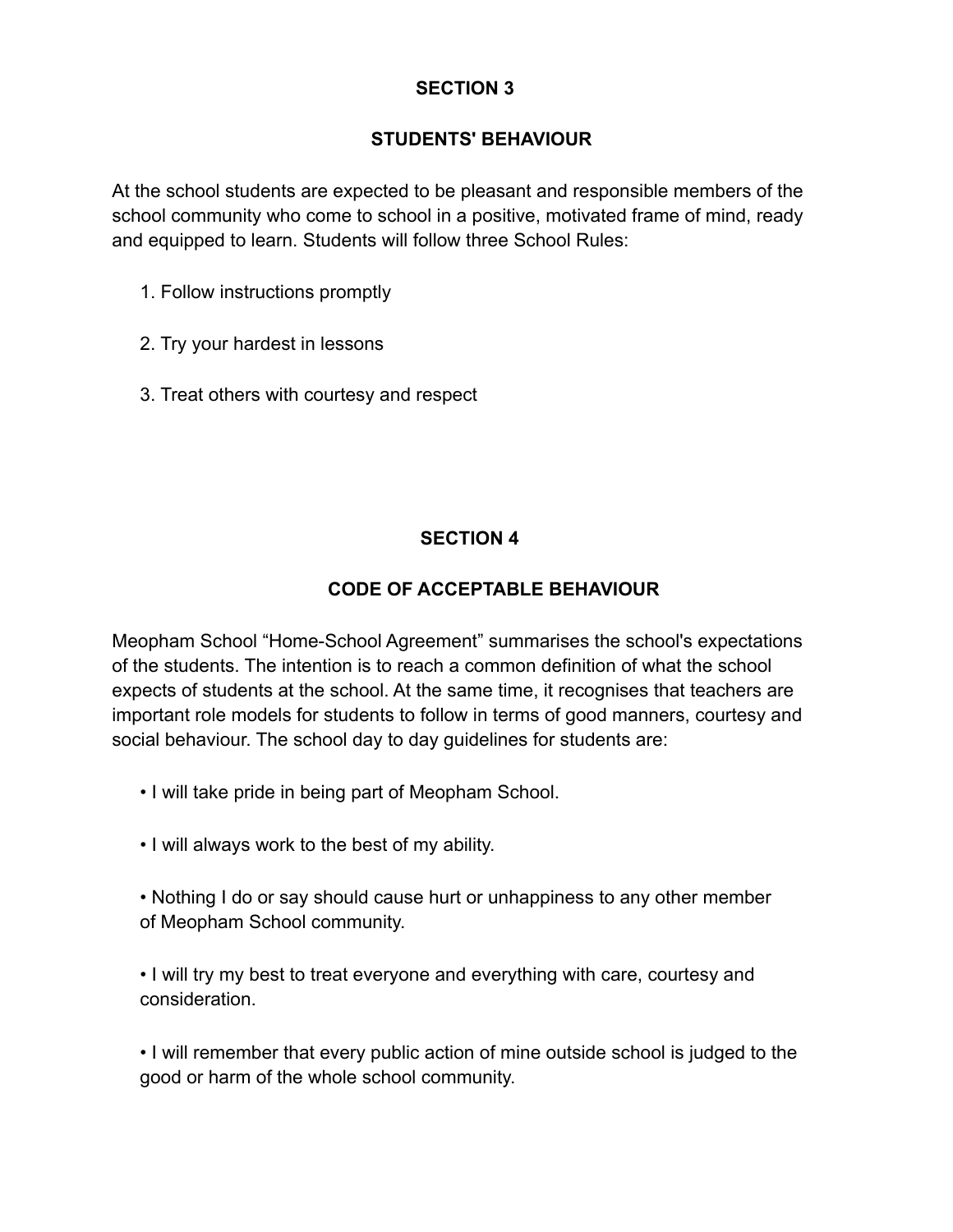#### **STUDENTS' BEHAVIOUR**

At the school students are expected to be pleasant and responsible members of the school community who come to school in a positive, motivated frame of mind, ready and equipped to learn. Students will follow three School Rules:

- 1. Follow instructions promptly
- 2. Try your hardest in lessons
- 3. Treat others with courtesy and respect

## **SECTION 4**

#### **CODE OF ACCEPTABLE BEHAVIOUR**

Meopham School "Home-School Agreement" summarises the school's expectations of the students. The intention is to reach a common definition of what the school expects of students at the school. At the same time, it recognises that teachers are important role models for students to follow in terms of good manners, courtesy and social behaviour. The school day to day guidelines for students are:

- I will take pride in being part of Meopham School.
- I will always work to the best of my ability.
- Nothing I do or say should cause hurt or unhappiness to any other member of Meopham School community.

• I will try my best to treat everyone and everything with care, courtesy and consideration.

• I will remember that every public action of mine outside school is judged to the good or harm of the whole school community.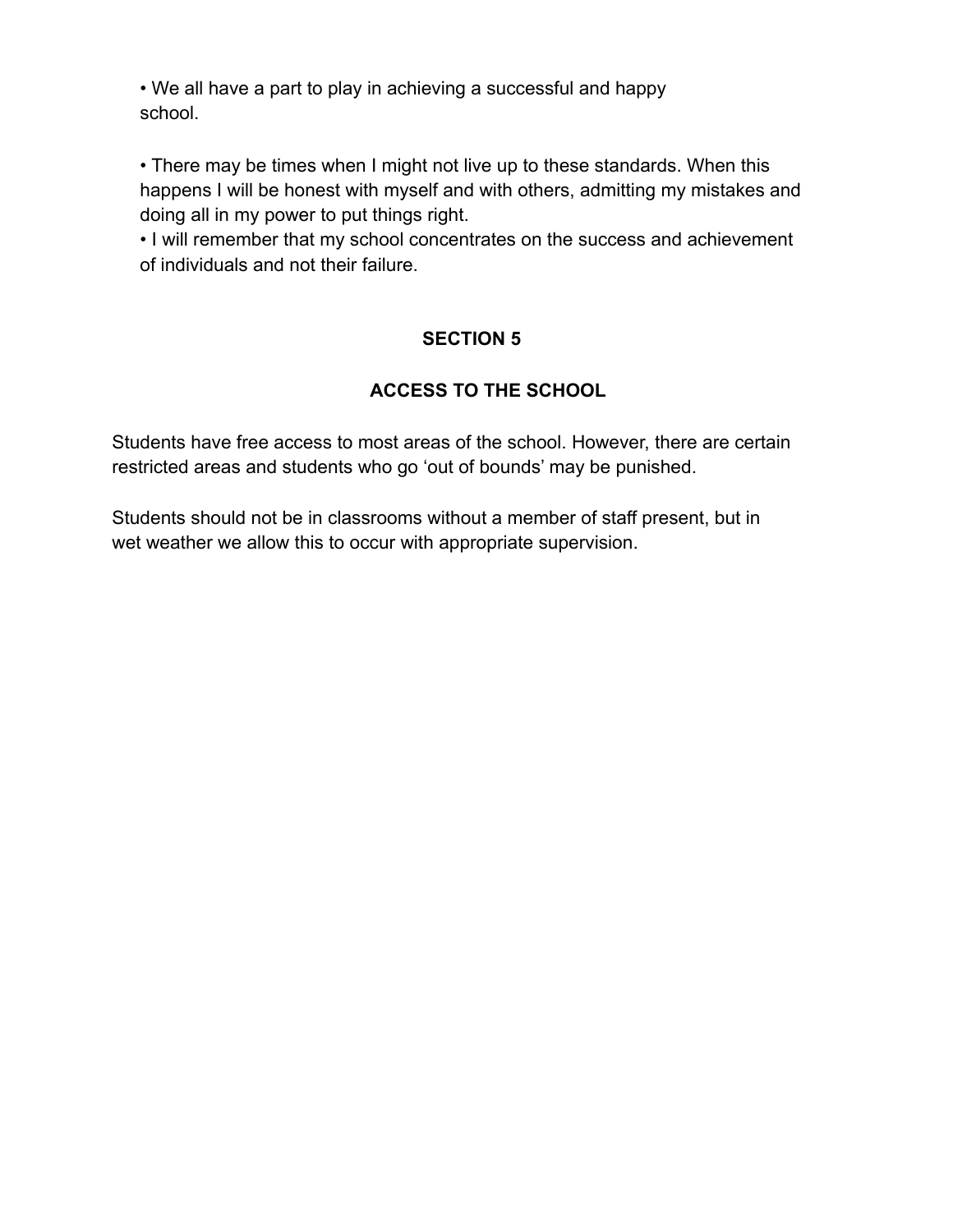• We all have a part to play in achieving a successful and happy school.

• There may be times when I might not live up to these standards. When this happens I will be honest with myself and with others, admitting my mistakes and doing all in my power to put things right.

• I will remember that my school concentrates on the success and achievement of individuals and not their failure.

# **SECTION 5**

# **ACCESS TO THE SCHOOL**

Students have free access to most areas of the school. However, there are certain restricted areas and students who go 'out of bounds' may be punished.

Students should not be in classrooms without a member of staff present, but in wet weather we allow this to occur with appropriate supervision.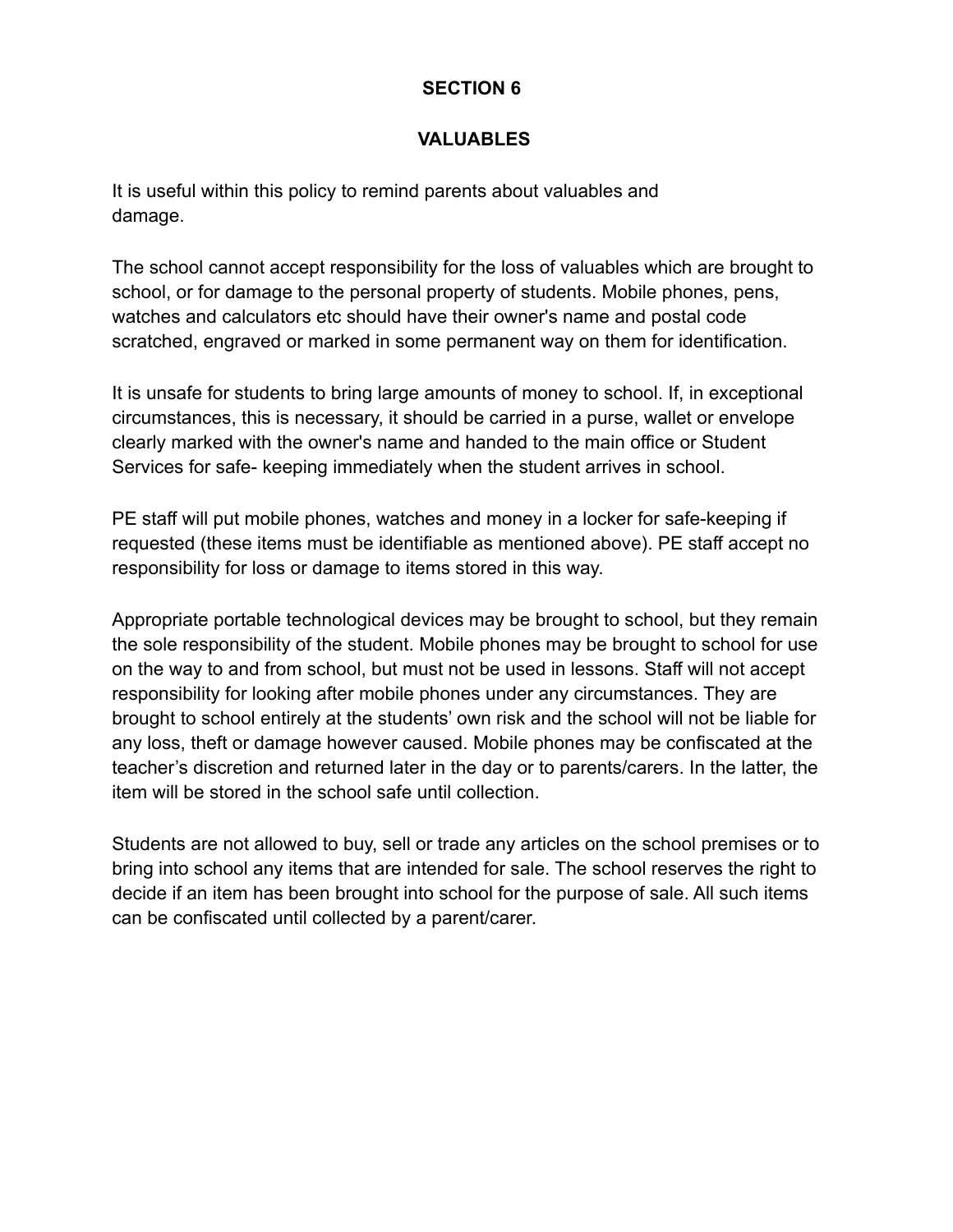#### **VALUABLES**

It is useful within this policy to remind parents about valuables and damage.

The school cannot accept responsibility for the loss of valuables which are brought to school, or for damage to the personal property of students. Mobile phones, pens, watches and calculators etc should have their owner's name and postal code scratched, engraved or marked in some permanent way on them for identification.

It is unsafe for students to bring large amounts of money to school. If, in exceptional circumstances, this is necessary, it should be carried in a purse, wallet or envelope clearly marked with the owner's name and handed to the main office or Student Services for safe- keeping immediately when the student arrives in school.

PE staff will put mobile phones, watches and money in a locker for safe-keeping if requested (these items must be identifiable as mentioned above). PE staff accept no responsibility for loss or damage to items stored in this way.

Appropriate portable technological devices may be brought to school, but they remain the sole responsibility of the student. Mobile phones may be brought to school for use on the way to and from school, but must not be used in lessons. Staff will not accept responsibility for looking after mobile phones under any circumstances. They are brought to school entirely at the students' own risk and the school will not be liable for any loss, theft or damage however caused. Mobile phones may be confiscated at the teacher's discretion and returned later in the day or to parents/carers. In the latter, the item will be stored in the school safe until collection.

Students are not allowed to buy, sell or trade any articles on the school premises or to bring into school any items that are intended for sale. The school reserves the right to decide if an item has been brought into school for the purpose of sale. All such items can be confiscated until collected by a parent/carer.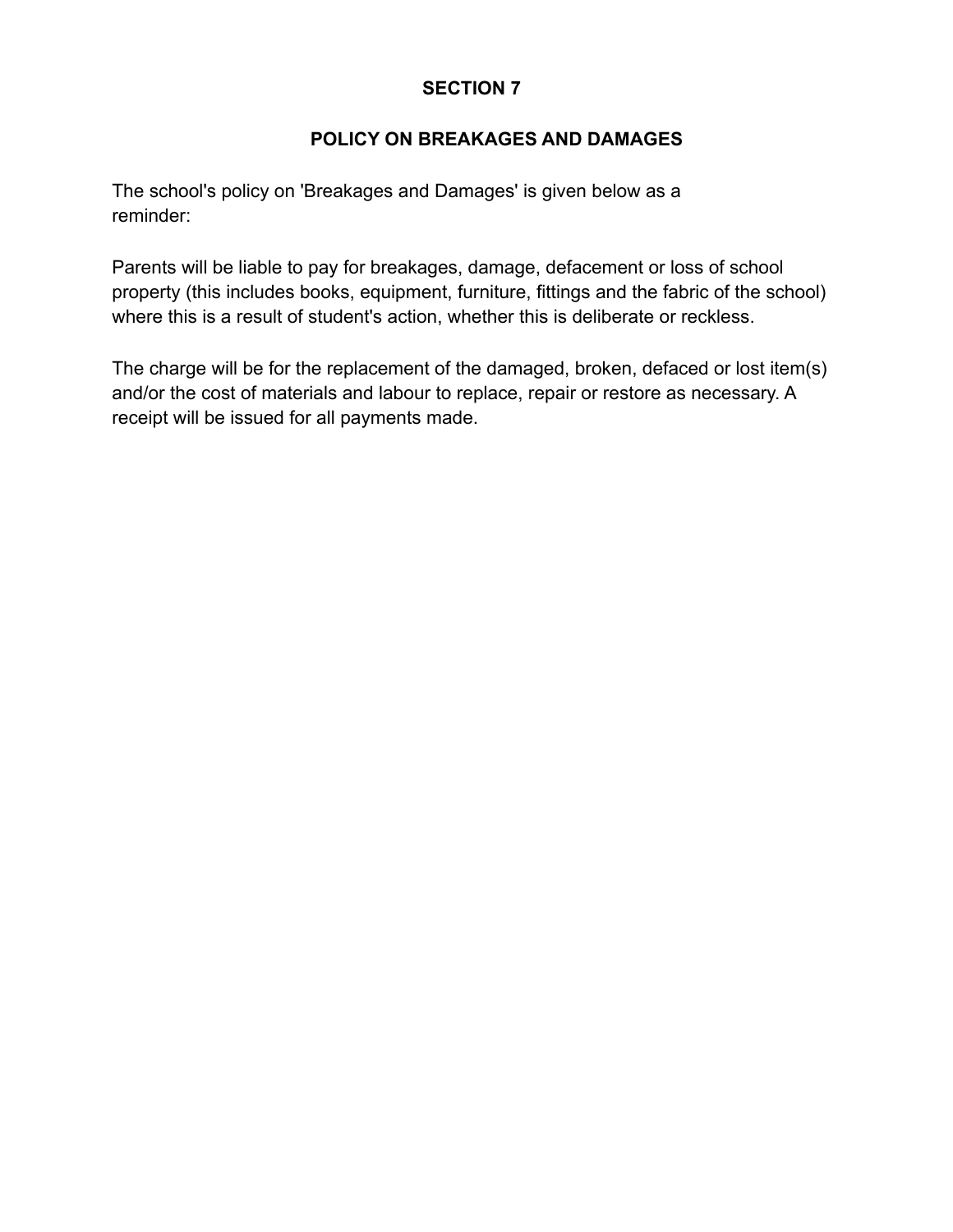#### **POLICY ON BREAKAGES AND DAMAGES**

The school's policy on 'Breakages and Damages' is given below as a reminder:

Parents will be liable to pay for breakages, damage, defacement or loss of school property (this includes books, equipment, furniture, fittings and the fabric of the school) where this is a result of student's action, whether this is deliberate or reckless.

The charge will be for the replacement of the damaged, broken, defaced or lost item(s) and/or the cost of materials and labour to replace, repair or restore as necessary. A receipt will be issued for all payments made.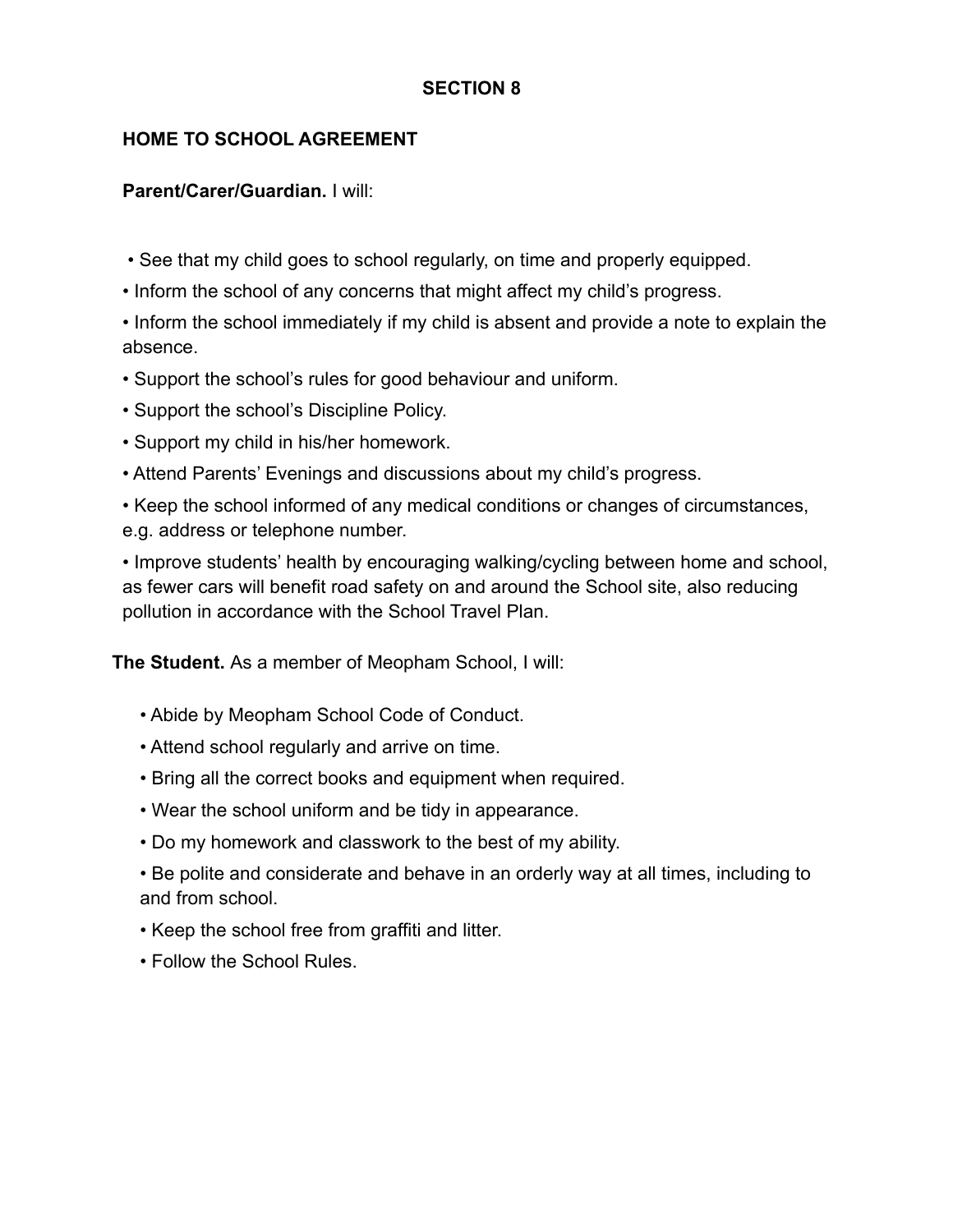## **HOME TO SCHOOL AGREEMENT**

#### **Parent/Carer/Guardian.** I will:

- See that my child goes to school regularly, on time and properly equipped.
- Inform the school of any concerns that might affect my child's progress.
- Inform the school immediately if my child is absent and provide a note to explain the absence.
- Support the school's rules for good behaviour and uniform.
- Support the school's Discipline Policy.
- Support my child in his/her homework.
- Attend Parents' Evenings and discussions about my child's progress.
- Keep the school informed of any medical conditions or changes of circumstances, e.g. address or telephone number.

• Improve students' health by encouraging walking/cycling between home and school, as fewer cars will benefit road safety on and around the School site, also reducing pollution in accordance with the School Travel Plan.

**The Student.** As a member of Meopham School, I will:

- Abide by Meopham School Code of Conduct.
- Attend school regularly and arrive on time.
- Bring all the correct books and equipment when required.
- Wear the school uniform and be tidy in appearance.
- Do my homework and classwork to the best of my ability.
- Be polite and considerate and behave in an orderly way at all times, including to and from school.
- Keep the school free from graffiti and litter.
- Follow the School Rules.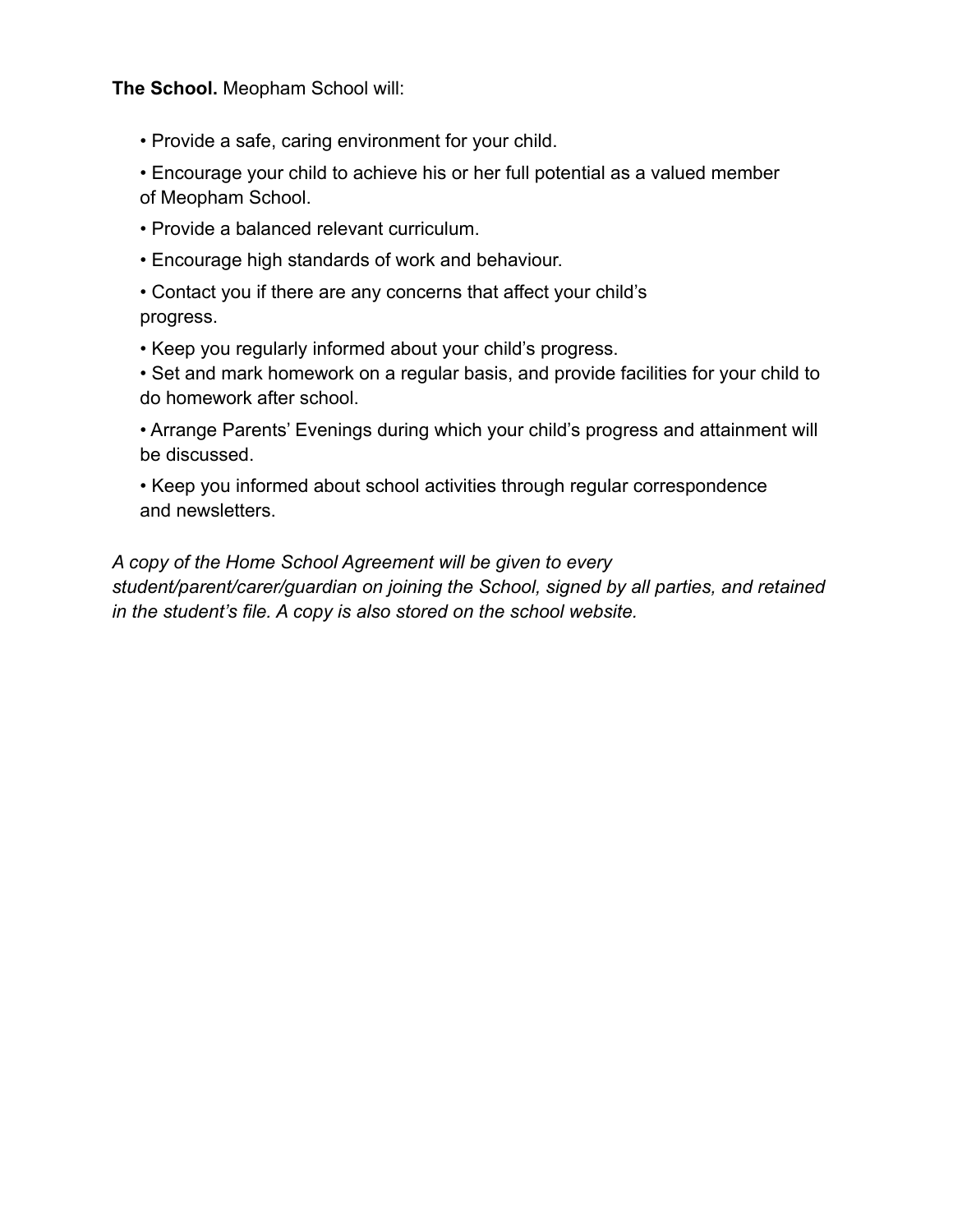**The School.** Meopham School will:

• Provide a safe, caring environment for your child.

• Encourage your child to achieve his or her full potential as a valued member of Meopham School.

• Provide a balanced relevant curriculum.

• Encourage high standards of work and behaviour.

• Contact you if there are any concerns that affect your child's progress.

• Keep you regularly informed about your child's progress.

• Set and mark homework on a regular basis, and provide facilities for your child to do homework after school.

• Arrange Parents' Evenings during which your child's progress and attainment will be discussed.

• Keep you informed about school activities through regular correspondence and newsletters.

*A copy of the Home School Agreement will be given to every student/parent/carer/guardian on joining the School, signed by all parties, and retained in the student's file. A copy is also stored on the school website.*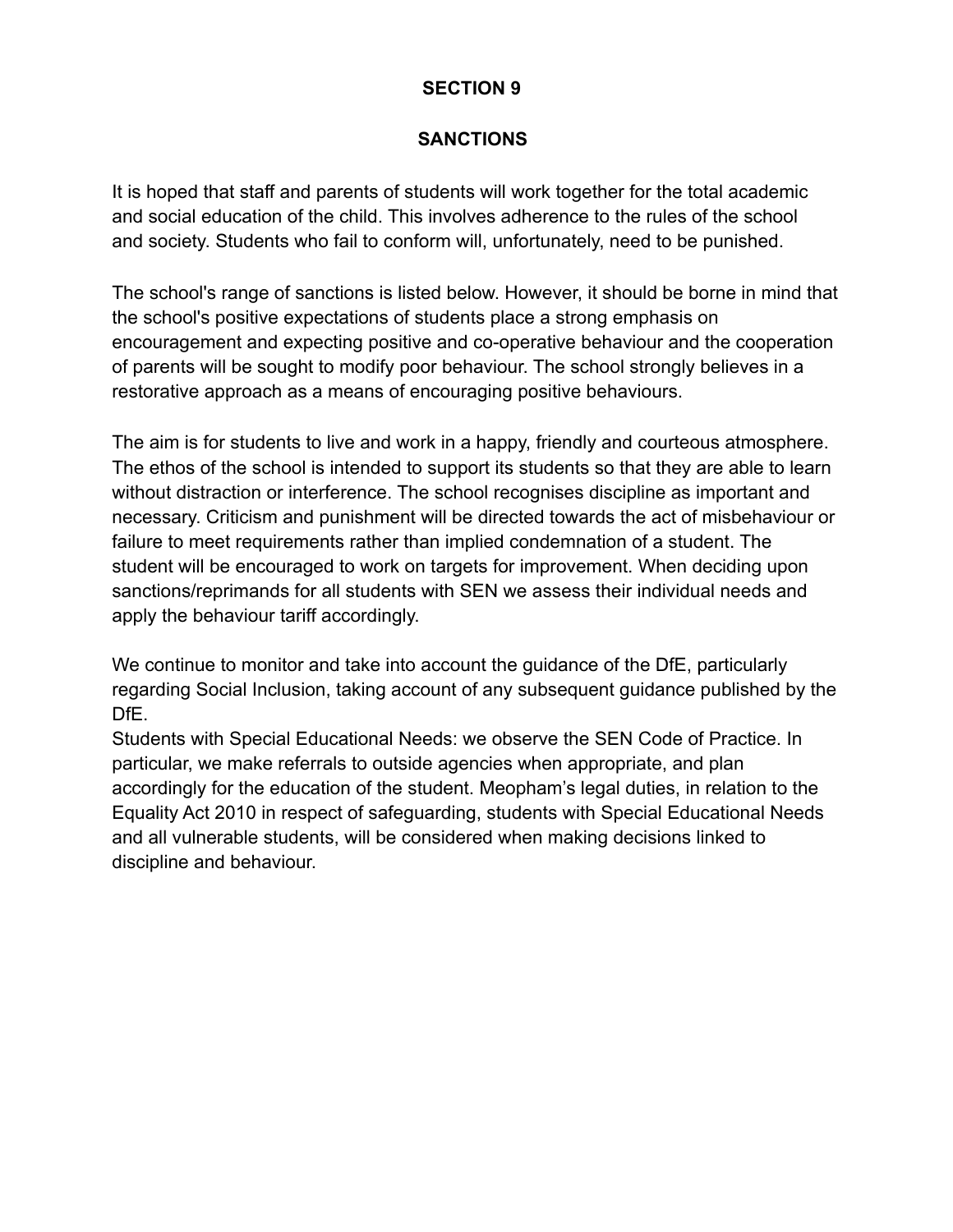#### **SANCTIONS**

It is hoped that staff and parents of students will work together for the total academic and social education of the child. This involves adherence to the rules of the school and society. Students who fail to conform will, unfortunately, need to be punished.

The school's range of sanctions is listed below. However, it should be borne in mind that the school's positive expectations of students place a strong emphasis on encouragement and expecting positive and co-operative behaviour and the cooperation of parents will be sought to modify poor behaviour. The school strongly believes in a restorative approach as a means of encouraging positive behaviours.

The aim is for students to live and work in a happy, friendly and courteous atmosphere. The ethos of the school is intended to support its students so that they are able to learn without distraction or interference. The school recognises discipline as important and necessary. Criticism and punishment will be directed towards the act of misbehaviour or failure to meet requirements rather than implied condemnation of a student. The student will be encouraged to work on targets for improvement. When deciding upon sanctions/reprimands for all students with SEN we assess their individual needs and apply the behaviour tariff accordingly.

We continue to monitor and take into account the guidance of the DfE, particularly regarding Social Inclusion, taking account of any subsequent guidance published by the DfE.

Students with Special Educational Needs: we observe the SEN Code of Practice. In particular, we make referrals to outside agencies when appropriate, and plan accordingly for the education of the student. Meopham's legal duties, in relation to the Equality Act 2010 in respect of safeguarding, students with Special Educational Needs and all vulnerable students, will be considered when making decisions linked to discipline and behaviour.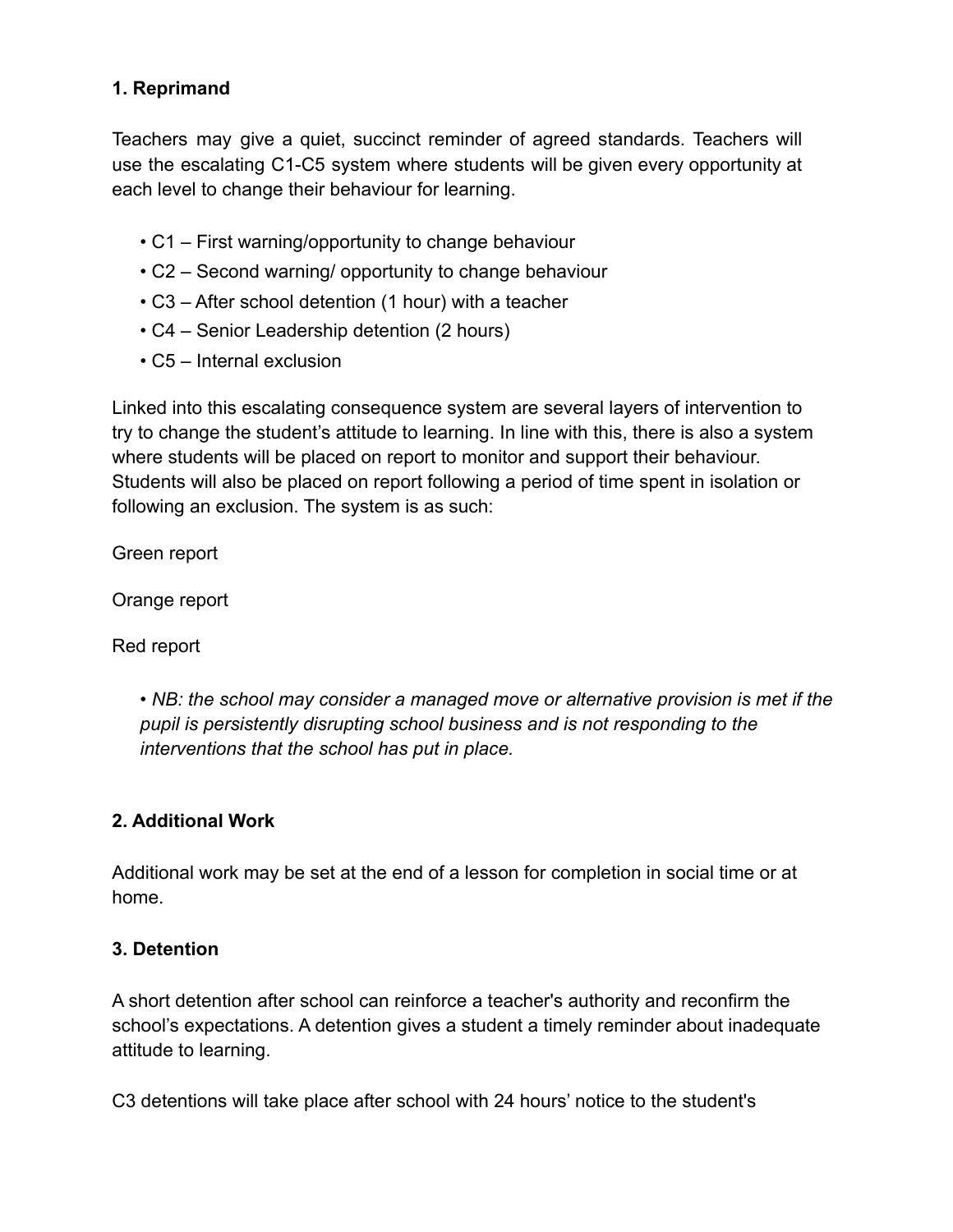## **1. Reprimand**

Teachers may give a quiet, succinct reminder of agreed standards. Teachers will use the escalating C1-C5 system where students will be given every opportunity at each level to change their behaviour for learning.

- C1 First warning/opportunity to change behaviour
- C2 Second warning/ opportunity to change behaviour
- C3 After school detention (1 hour) with a teacher
- C4 Senior Leadership detention (2 hours)
- C5 Internal exclusion

Linked into this escalating consequence system are several layers of intervention to try to change the student's attitude to learning. In line with this, there is also a system where students will be placed on report to monitor and support their behaviour. Students will also be placed on report following a period of time spent in isolation or following an exclusion. The system is as such:

Green report

Orange report

Red report

• *NB: the school may consider a managed move or alternative provision is met if the pupil is persistently disrupting school business and is not responding to the interventions that the school has put in place.*

#### **2. Additional Work**

Additional work may be set at the end of a lesson for completion in social time or at home.

#### **3. Detention**

A short detention after school can reinforce a teacher's authority and reconfirm the school's expectations. A detention gives a student a timely reminder about inadequate attitude to learning.

C3 detentions will take place after school with 24 hours' notice to the student's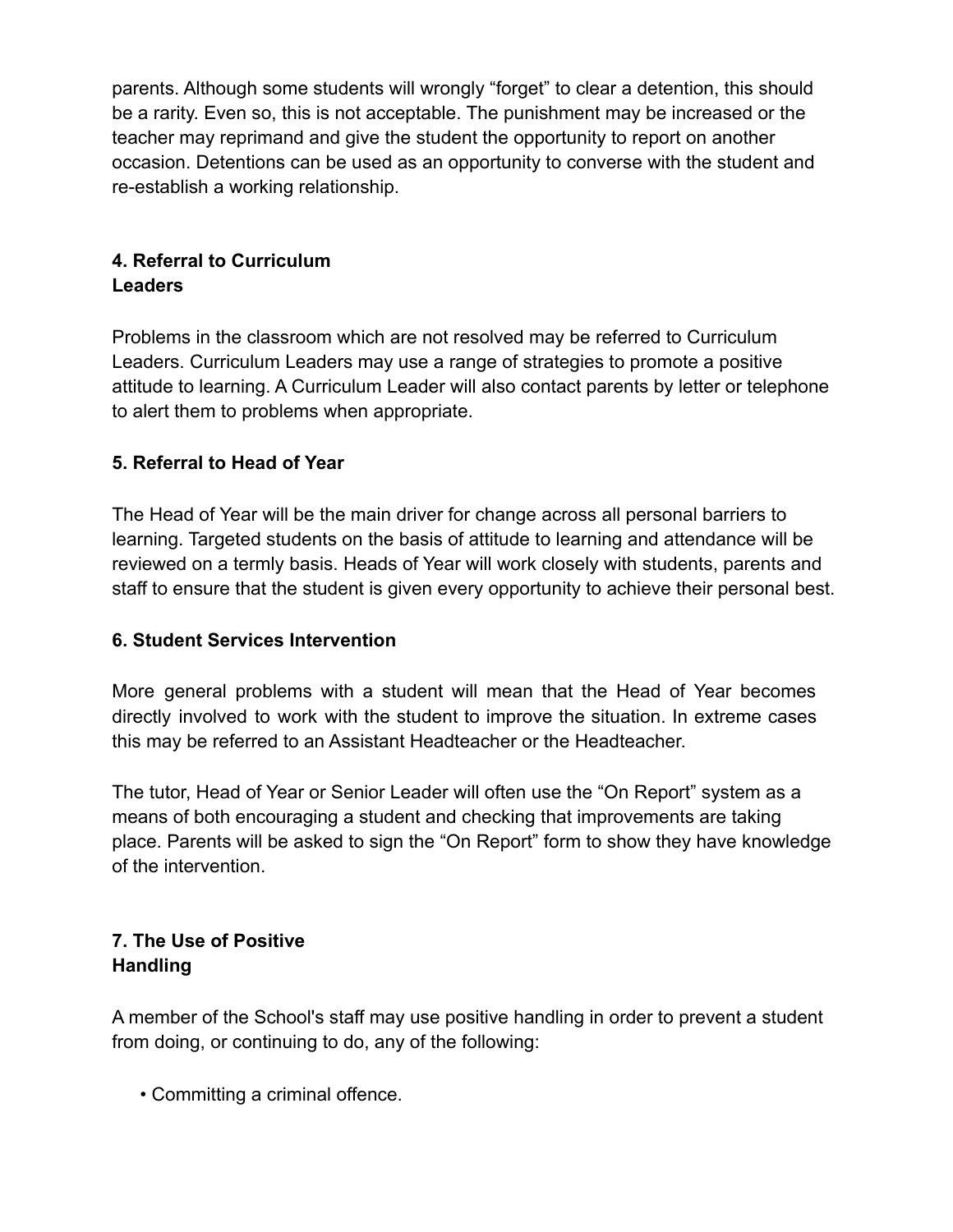parents. Although some students will wrongly "forget" to clear a detention, this should be a rarity. Even so, this is not acceptable. The punishment may be increased or the teacher may reprimand and give the student the opportunity to report on another occasion. Detentions can be used as an opportunity to converse with the student and re-establish a working relationship.

# **4. Referral to Curriculum Leaders**

Problems in the classroom which are not resolved may be referred to Curriculum Leaders. Curriculum Leaders may use a range of strategies to promote a positive attitude to learning. A Curriculum Leader will also contact parents by letter or telephone to alert them to problems when appropriate.

## **5. Referral to Head of Year**

The Head of Year will be the main driver for change across all personal barriers to learning. Targeted students on the basis of attitude to learning and attendance will be reviewed on a termly basis. Heads of Year will work closely with students, parents and staff to ensure that the student is given every opportunity to achieve their personal best.

#### **6. Student Services Intervention**

More general problems with a student will mean that the Head of Year becomes directly involved to work with the student to improve the situation. In extreme cases this may be referred to an Assistant Headteacher or the Headteacher.

The tutor, Head of Year or Senior Leader will often use the "On Report" system as a means of both encouraging a student and checking that improvements are taking place. Parents will be asked to sign the "On Report" form to show they have knowledge of the intervention.

## **7. The Use of Positive Handling**

A member of the School's staff may use positive handling in order to prevent a student from doing, or continuing to do, any of the following:

• Committing a criminal offence.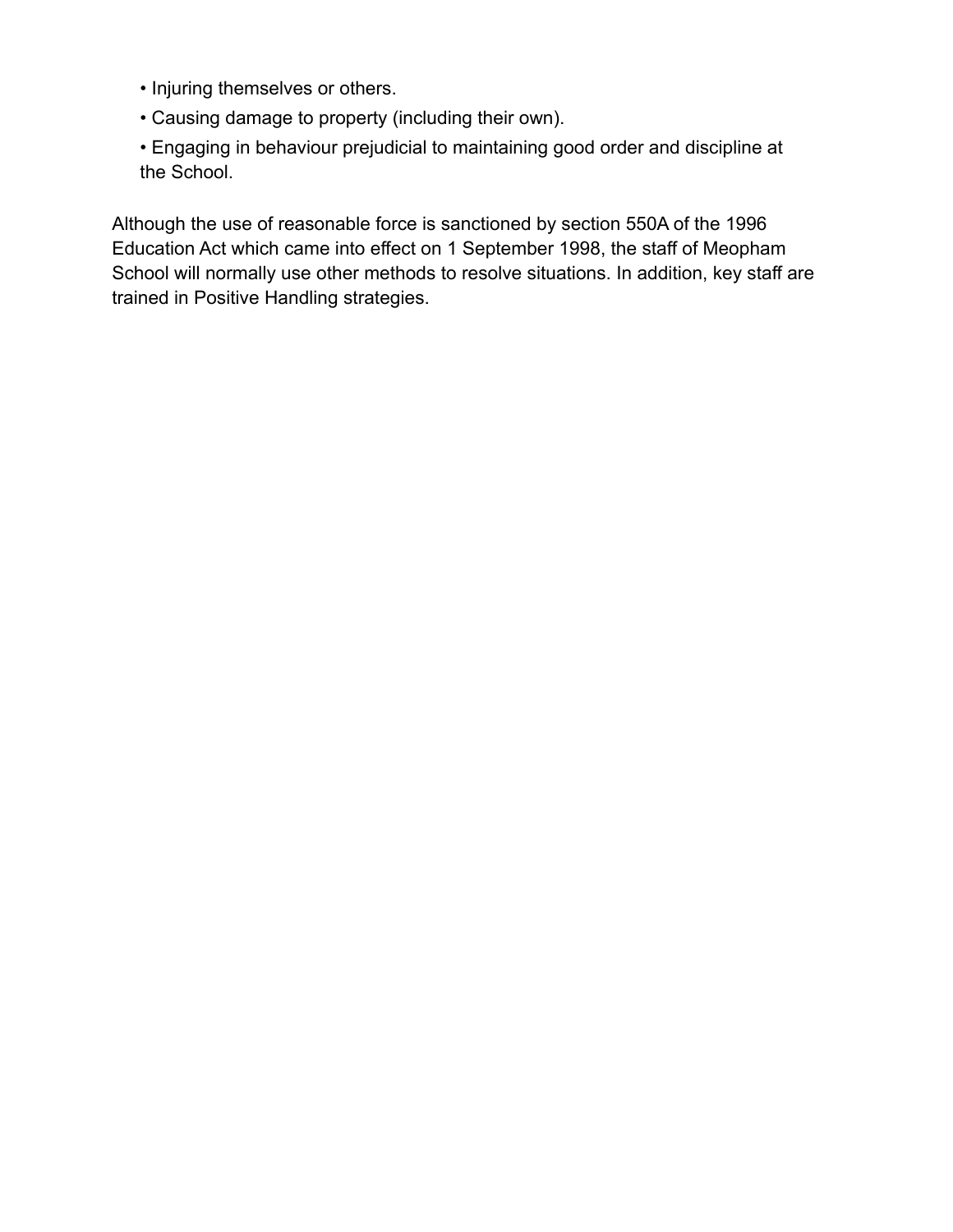- Injuring themselves or others.
- Causing damage to property (including their own).
- Engaging in behaviour prejudicial to maintaining good order and discipline at the School.

Although the use of reasonable force is sanctioned by section 550A of the 1996 Education Act which came into effect on 1 September 1998, the staff of Meopham School will normally use other methods to resolve situations. In addition, key staff are trained in Positive Handling strategies.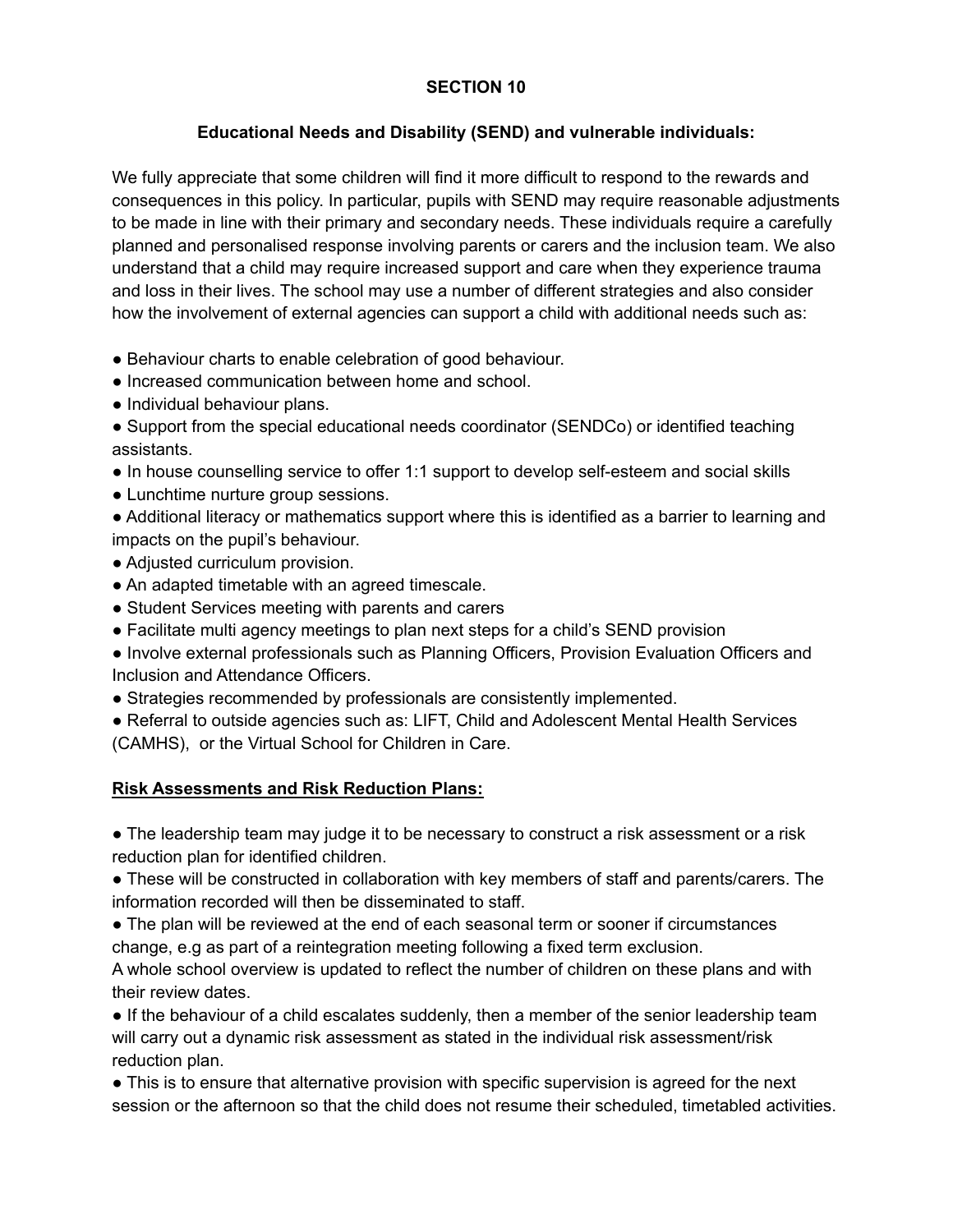#### **Educational Needs and Disability (SEND) and vulnerable individuals:**

We fully appreciate that some children will find it more difficult to respond to the rewards and consequences in this policy. In particular, pupils with SEND may require reasonable adjustments to be made in line with their primary and secondary needs. These individuals require a carefully planned and personalised response involving parents or carers and the inclusion team. We also understand that a child may require increased support and care when they experience trauma and loss in their lives. The school may use a number of different strategies and also consider how the involvement of external agencies can support a child with additional needs such as:

- Behaviour charts to enable celebration of good behaviour.
- Increased communication between home and school.
- Individual behaviour plans.
- Support from the special educational needs coordinator (SENDCo) or identified teaching assistants.
- In house counselling service to offer 1:1 support to develop self-esteem and social skills
- Lunchtime nurture group sessions.
- Additional literacy or mathematics support where this is identified as a barrier to learning and impacts on the pupil's behaviour.
- Adjusted curriculum provision.
- An adapted timetable with an agreed timescale.
- Student Services meeting with parents and carers
- Facilitate multi agency meetings to plan next steps for a child's SEND provision
- Involve external professionals such as Planning Officers, Provision Evaluation Officers and Inclusion and Attendance Officers.
- Strategies recommended by professionals are consistently implemented.
- Referral to outside agencies such as: LIFT, Child and Adolescent Mental Health Services (CAMHS), or the Virtual School for Children in Care.

#### **Risk Assessments and Risk Reduction Plans:**

• The leadership team may judge it to be necessary to construct a risk assessment or a risk reduction plan for identified children.

● These will be constructed in collaboration with key members of staff and parents/carers. The information recorded will then be disseminated to staff.

• The plan will be reviewed at the end of each seasonal term or sooner if circumstances change, e.g as part of a reintegration meeting following a fixed term exclusion.

A whole school overview is updated to reflect the number of children on these plans and with their review dates.

● If the behaviour of a child escalates suddenly, then a member of the senior leadership team will carry out a dynamic risk assessment as stated in the individual risk assessment/risk reduction plan.

• This is to ensure that alternative provision with specific supervision is agreed for the next session or the afternoon so that the child does not resume their scheduled, timetabled activities.